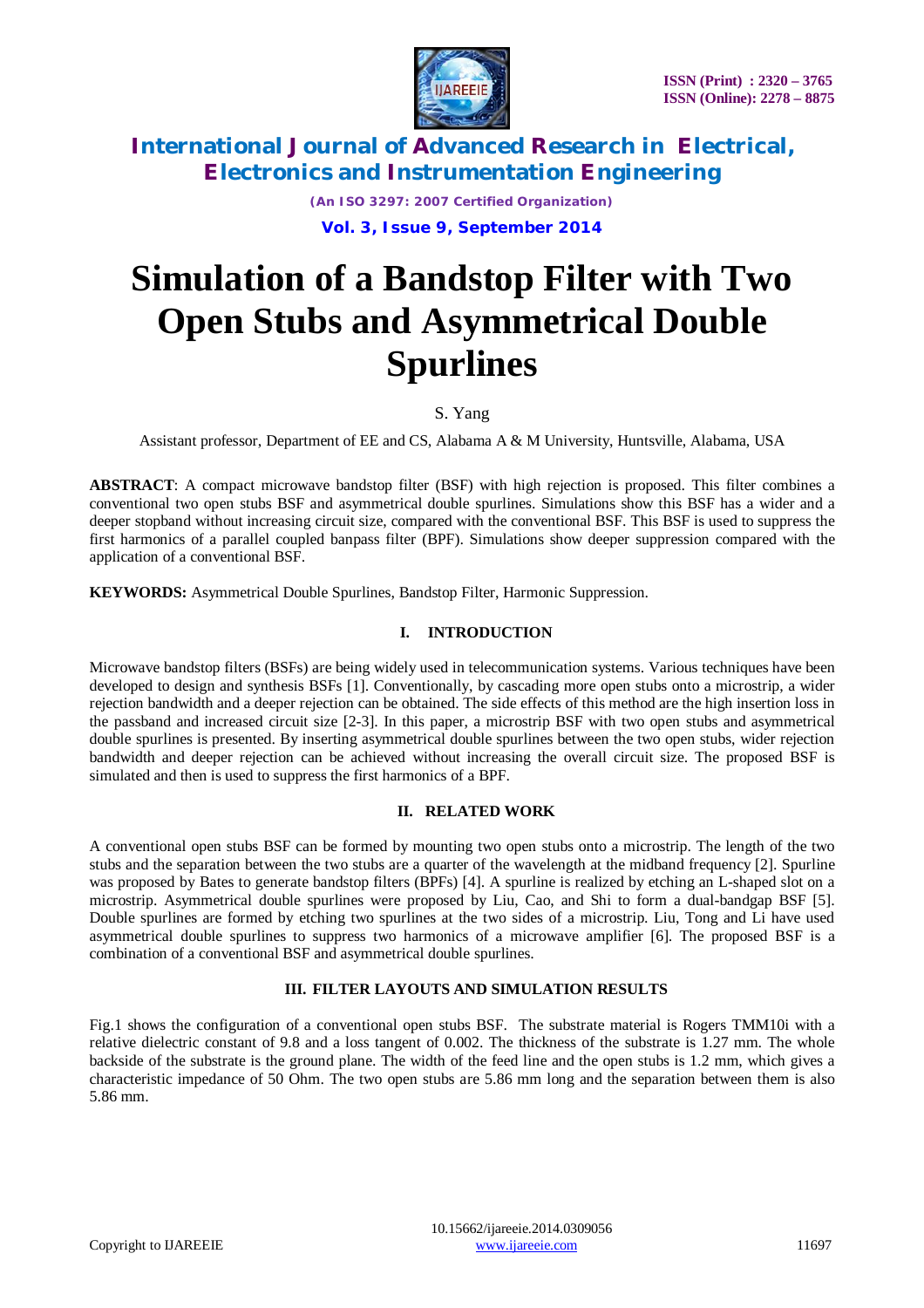

*(An ISO 3297: 2007 Certified Organization)* **Vol. 3, Issue 9, September 2014**

# **Simulation of a Bandstop Filter with Two Open Stubs and Asymmetrical Double Spurlines**

S. Yang

Assistant professor, Department of EE and CS, Alabama A & M University, Huntsville, Alabama, USA

**ABSTRACT**: A compact microwave bandstop filter (BSF) with high rejection is proposed. This filter combines a conventional two open stubs BSF and asymmetrical double spurlines. Simulations show this BSF has a wider and a deeper stopband without increasing circuit size, compared with the conventional BSF. This BSF is used to suppress the first harmonics of a parallel coupled banpass filter (BPF). Simulations show deeper suppression compared with the application of a conventional BSF.

**KEYWORDS:** Asymmetrical Double Spurlines, Bandstop Filter, Harmonic Suppression.

### **I. INTRODUCTION**

Microwave bandstop filters (BSFs) are being widely used in telecommunication systems. Various techniques have been developed to design and synthesis BSFs [1]. Conventionally, by cascading more open stubs onto a microstrip, a wider rejection bandwidth and a deeper rejection can be obtained. The side effects of this method are the high insertion loss in the passband and increased circuit size [2-3]. In this paper, a microstrip BSF with two open stubs and asymmetrical double spurlines is presented. By inserting asymmetrical double spurlines between the two open stubs, wider rejection bandwidth and deeper rejection can be achieved without increasing the overall circuit size. The proposed BSF is simulated and then is used to suppress the first harmonics of a BPF.

### **II. RELATED WORK**

A conventional open stubs BSF can be formed by mounting two open stubs onto a microstrip. The length of the two stubs and the separation between the two stubs are a quarter of the wavelength at the midband frequency [2]. Spurline was proposed by Bates to generate bandstop filters (BPFs) [4]. A spurline is realized by etching an L-shaped slot on a microstrip. Asymmetrical double spurlines were proposed by Liu, Cao, and Shi to form a dual-bandgap BSF [5]. Double spurlines are formed by etching two spurlines at the two sides of a microstrip. Liu, Tong and Li have used asymmetrical double spurlines to suppress two harmonics of a microwave amplifier [6]. The proposed BSF is a combination of a conventional BSF and asymmetrical double spurlines.

#### **III. FILTER LAYOUTS AND SIMULATION RESULTS**

Fig.1 shows the configuration of a conventional open stubs BSF. The substrate material is Rogers TMM10i with a relative dielectric constant of 9.8 and a loss tangent of 0.002. The thickness of the substrate is 1.27 mm. The whole backside of the substrate is the ground plane. The width of the feed line and the open stubs is 1.2 mm, which gives a characteristic impedance of 50 Ohm. The two open stubs are 5.86 mm long and the separation between them is also 5.86 mm.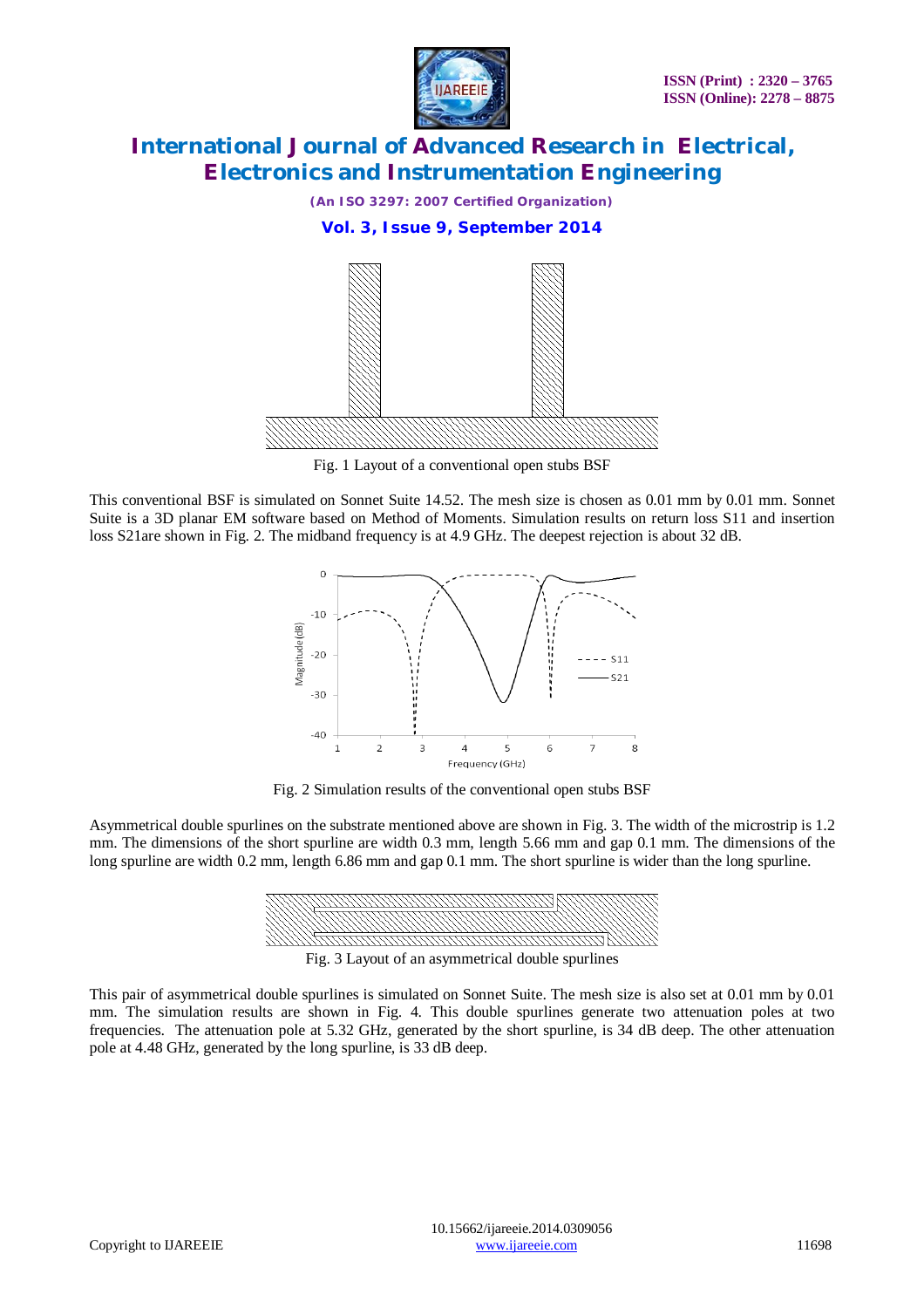



Fig. 1 Layout of a conventional open stubs BSF

This conventional BSF is simulated on Sonnet Suite 14.52. The mesh size is chosen as 0.01 mm by 0.01 mm. Sonnet Suite is a 3D planar EM software based on Method of Moments. Simulation results on return loss S11 and insertion loss S21are shown in Fig. 2. The midband frequency is at 4.9 GHz. The deepest rejection is about 32 dB.



Fig. 2 Simulation results of the conventional open stubs BSF

Asymmetrical double spurlines on the substrate mentioned above are shown in Fig. 3. The width of the microstrip is 1.2 mm. The dimensions of the short spurline are width 0.3 mm, length 5.66 mm and gap 0.1 mm. The dimensions of the long spurline are width 0.2 mm, length 6.86 mm and gap 0.1 mm. The short spurline is wider than the long spurline.



Fig. 3 Layout of an asymmetrical double spurlines

This pair of asymmetrical double spurlines is simulated on Sonnet Suite. The mesh size is also set at 0.01 mm by 0.01 mm. The simulation results are shown in Fig. 4. This double spurlines generate two attenuation poles at two frequencies. The attenuation pole at 5.32 GHz, generated by the short spurline, is 34 dB deep. The other attenuation pole at 4.48 GHz, generated by the long spurline, is 33 dB deep.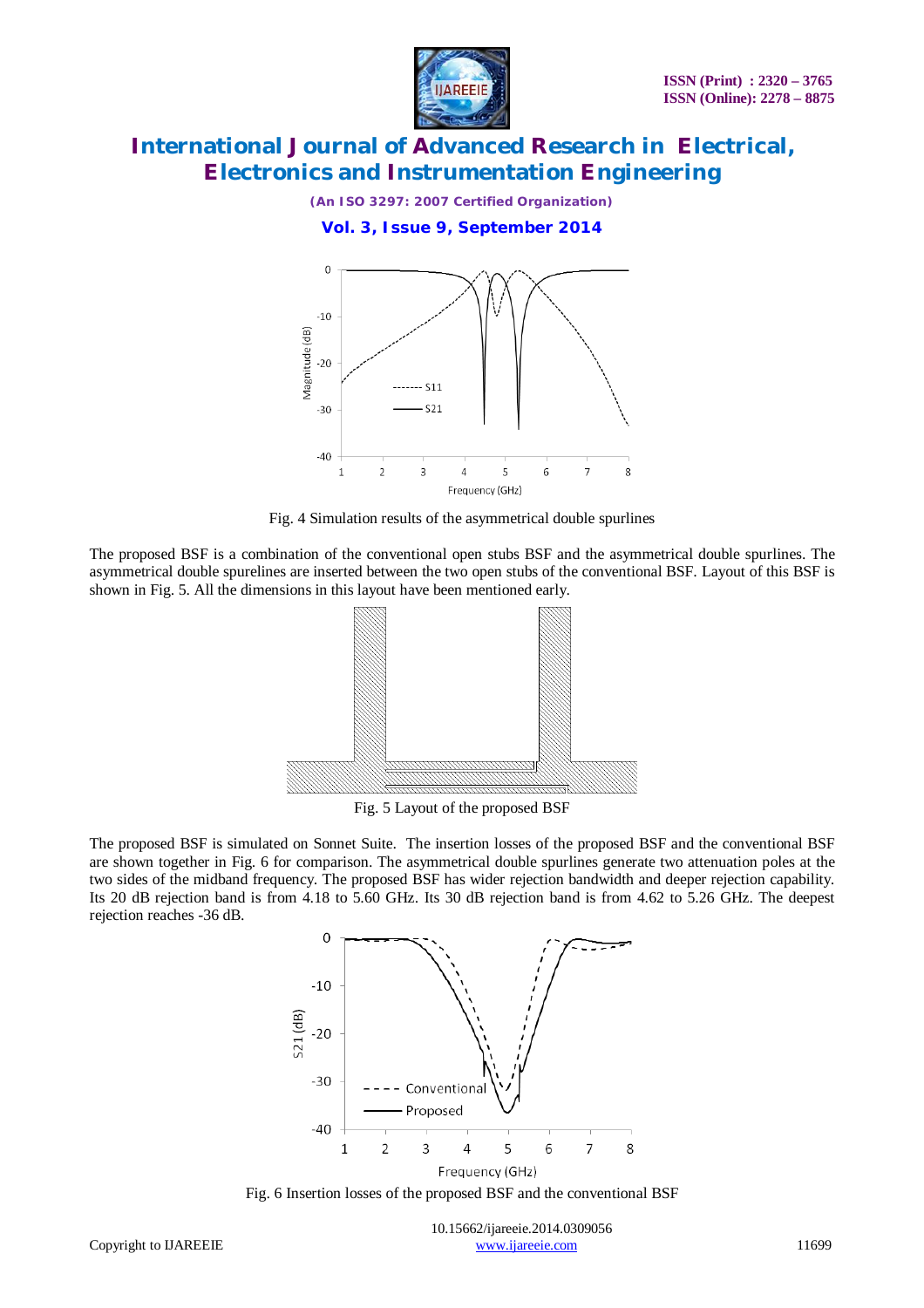

*(An ISO 3297: 2007 Certified Organization)*

**Vol. 3, Issue 9, September 2014**





The proposed BSF is a combination of the conventional open stubs BSF and the asymmetrical double spurlines. The asymmetrical double spurelines are inserted between the two open stubs of the conventional BSF. Layout of this BSF is shown in Fig. 5. All the dimensions in this layout have been mentioned early.



Fig. 5 Layout of the proposed BSF

The proposed BSF is simulated on Sonnet Suite. The insertion losses of the proposed BSF and the conventional BSF are shown together in Fig. 6 for comparison. The asymmetrical double spurlines generate two attenuation poles at the two sides of the midband frequency. The proposed BSF has wider rejection bandwidth and deeper rejection capability. Its 20 dB rejection band is from 4.18 to 5.60 GHz. Its 30 dB rejection band is from 4.62 to 5.26 GHz. The deepest rejection reaches -36 dB.



Fig. 6 Insertion losses of the proposed BSF and the conventional BSF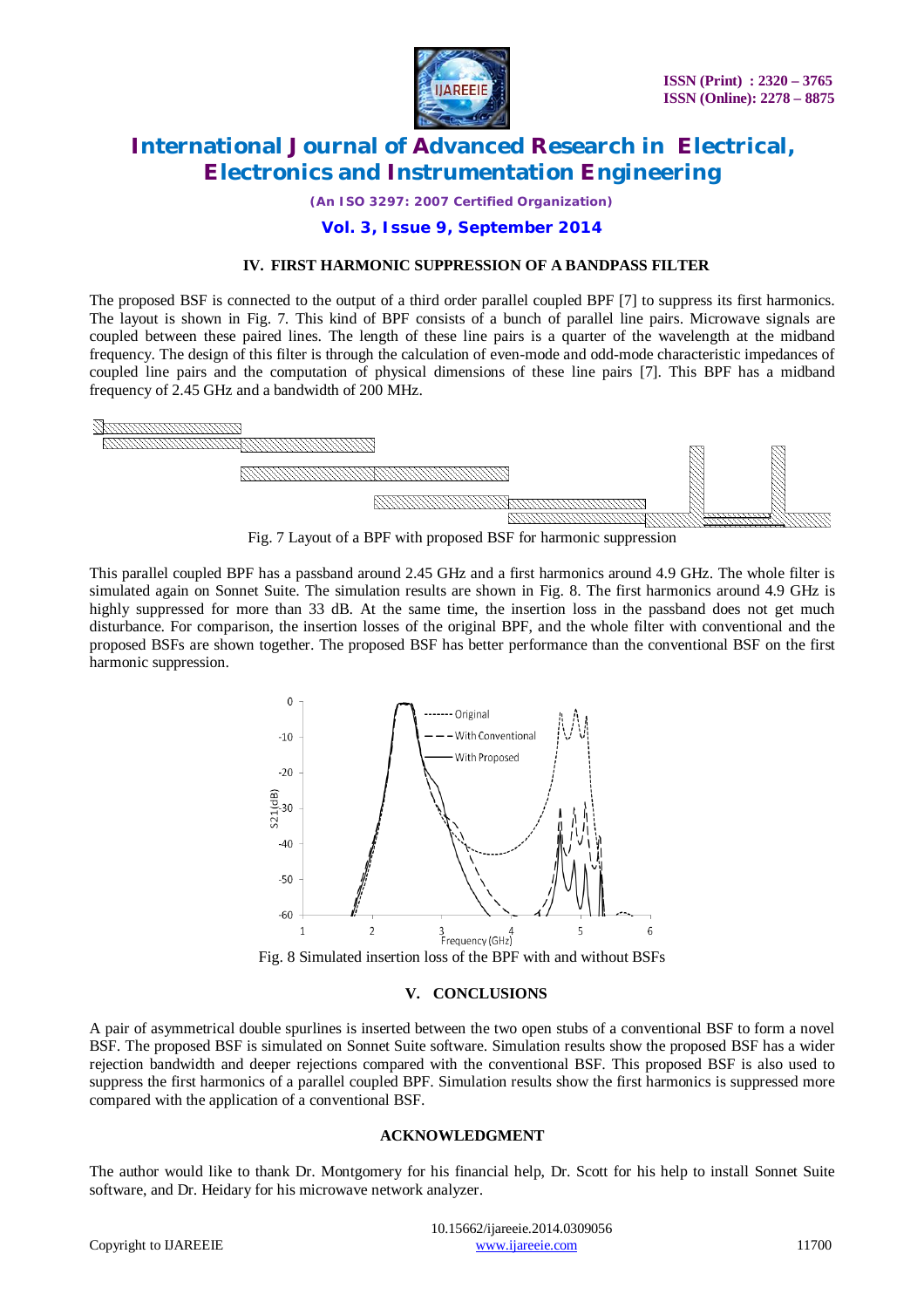

*(An ISO 3297: 2007 Certified Organization)*

### **Vol. 3, Issue 9, September 2014**

#### **IV. FIRST HARMONIC SUPPRESSION OF A BANDPASS FILTER**

The proposed BSF is connected to the output of a third order parallel coupled BPF [7] to suppress its first harmonics. The layout is shown in Fig. 7. This kind of BPF consists of a bunch of parallel line pairs. Microwave signals are coupled between these paired lines. The length of these line pairs is a quarter of the wavelength at the midband frequency. The design of this filter is through the calculation of even-mode and odd-mode characteristic impedances of coupled line pairs and the computation of physical dimensions of these line pairs [7]. This BPF has a midband frequency of 2.45 GHz and a bandwidth of 200 MHz.



Fig. 7 Layout of a BPF with proposed BSF for harmonic suppression

This parallel coupled BPF has a passband around 2.45 GHz and a first harmonics around 4.9 GHz. The whole filter is simulated again on Sonnet Suite. The simulation results are shown in Fig. 8. The first harmonics around 4.9 GHz is highly suppressed for more than 33 dB. At the same time, the insertion loss in the passband does not get much disturbance. For comparison, the insertion losses of the original BPF, and the whole filter with conventional and the proposed BSFs are shown together. The proposed BSF has better performance than the conventional BSF on the first harmonic suppression.



Fig. 8 Simulated insertion loss of the BPF with and without BSFs

#### **V. CONCLUSIONS**

A pair of asymmetrical double spurlines is inserted between the two open stubs of a conventional BSF to form a novel BSF. The proposed BSF is simulated on Sonnet Suite software. Simulation results show the proposed BSF has a wider rejection bandwidth and deeper rejections compared with the conventional BSF. This proposed BSF is also used to suppress the first harmonics of a parallel coupled BPF. Simulation results show the first harmonics is suppressed more compared with the application of a conventional BSF.

#### **ACKNOWLEDGMENT**

The author would like to thank Dr. Montgomery for his financial help, Dr. Scott for his help to install Sonnet Suite software, and Dr. Heidary for his microwave network analyzer.